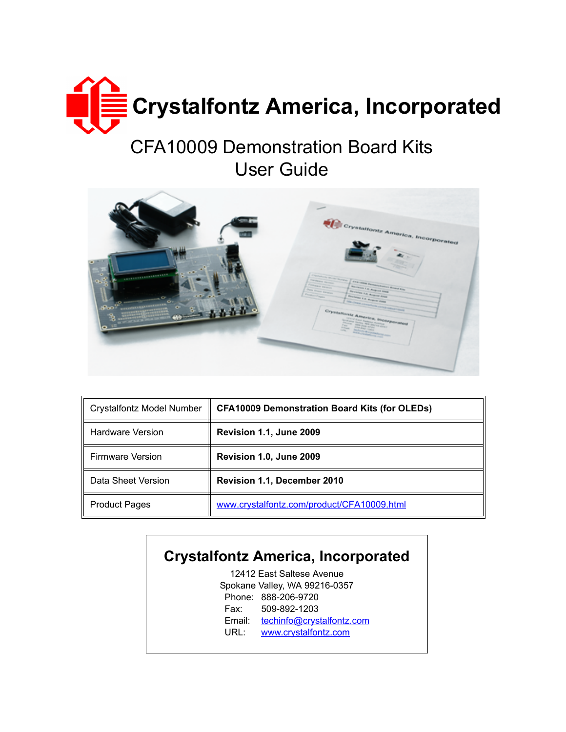

# CFA10009 Demonstration Board Kits User Guide



| <b>Crystalfontz Model Number</b> | <b>CFA10009 Demonstration Board Kits (for OLEDs)</b> |  |
|----------------------------------|------------------------------------------------------|--|
| <b>Hardware Version</b>          | Revision 1.1, June 2009                              |  |
| <b>Firmware Version</b>          | Revision 1.0, June 2009                              |  |
| Data Sheet Version               | Revision 1.1, December 2010                          |  |
| <b>Product Pages</b>             | www.crystalfontz.com/product/CFA10009.html           |  |

### **Crystalfontz America, Incorporated**

12412 East Saltese Avenue Spokane Valley, WA 99216-0357 Phone: 888-206-9720 Fax: 509-892-1203 Email: [techinfo@crystalfontz.com](mailto:techinfo@crystalfontz.com) URL: [www.crystalfontz.com](http://www.crystalfontz.com)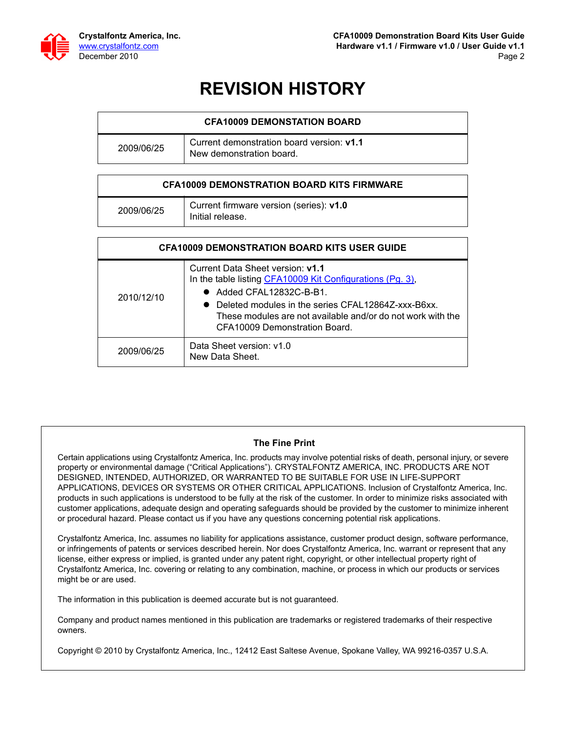

### **REVISION HISTORY**

| <b>CFA10009 DEMONSTATION BOARD</b> |                                                                       |  |  |  |
|------------------------------------|-----------------------------------------------------------------------|--|--|--|
| 2009/06/25                         | Current demonstration board version: v1.1<br>New demonstration board. |  |  |  |

| <b>CFA10009 DEMONSTRATION BOARD KITS FIRMWARE</b> |                                                             |  |
|---------------------------------------------------|-------------------------------------------------------------|--|
| 2009/06/25                                        | Current firmware version (series): v1.0<br>Initial release. |  |

| <b>CFA10009 DEMONSTRATION BOARD KITS USER GUIDE</b> |                                                                                                                                                                                                                                                                                           |  |  |  |
|-----------------------------------------------------|-------------------------------------------------------------------------------------------------------------------------------------------------------------------------------------------------------------------------------------------------------------------------------------------|--|--|--|
| 2010/12/10                                          | Current Data Sheet version: v1.1<br>In the table listing CFA10009 Kit Configurations (Pg. 3),<br>$\bullet$ Added CFAL12832C-B-B1.<br>• Deleted modules in the series CFAL12864Z-xxx-B6xx.<br>These modules are not available and/or do not work with the<br>CFA10009 Demonstration Board. |  |  |  |
| 2009/06/25                                          | Data Sheet version: v1.0<br>New Data Sheet.                                                                                                                                                                                                                                               |  |  |  |

#### **The Fine Print**

Certain applications using Crystalfontz America, Inc. products may involve potential risks of death, personal injury, or severe property or environmental damage ("Critical Applications"). CRYSTALFONTZ AMERICA, INC. PRODUCTS ARE NOT DESIGNED, INTENDED, AUTHORIZED, OR WARRANTED TO BE SUITABLE FOR USE IN LIFE-SUPPORT APPLICATIONS, DEVICES OR SYSTEMS OR OTHER CRITICAL APPLICATIONS. Inclusion of Crystalfontz America, Inc. products in such applications is understood to be fully at the risk of the customer. In order to minimize risks associated with customer applications, adequate design and operating safeguards should be provided by the customer to minimize inherent or procedural hazard. Please contact us if you have any questions concerning potential risk applications.

Crystalfontz America, Inc. assumes no liability for applications assistance, customer product design, software performance, or infringements of patents or services described herein. Nor does Crystalfontz America, Inc. warrant or represent that any license, either express or implied, is granted under any patent right, copyright, or other intellectual property right of Crystalfontz America, Inc. covering or relating to any combination, machine, or process in which our products or services might be or are used.

The information in this publication is deemed accurate but is not guaranteed.

Company and product names mentioned in this publication are trademarks or registered trademarks of their respective owners.

Copyright © 2010 by Crystalfontz America, Inc., 12412 East Saltese Avenue, Spokane Valley, WA 99216-0357 U.S.A.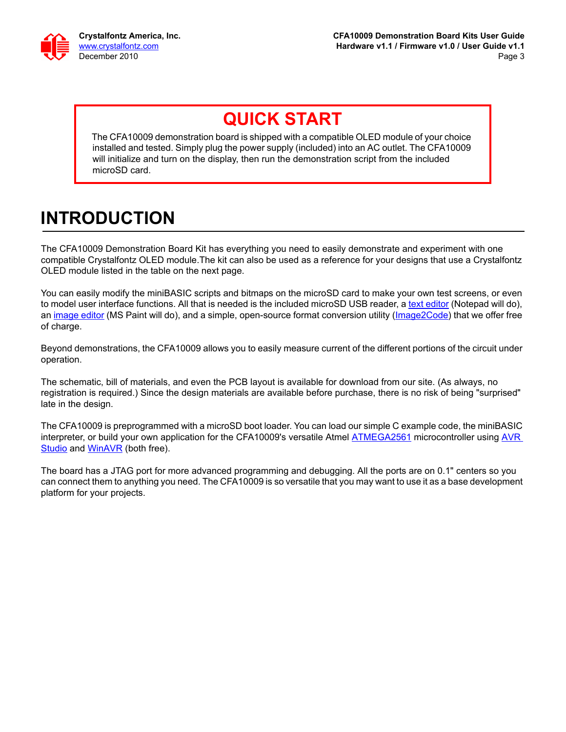

### **QUICK START**

The CFA10009 demonstration board is shipped with a compatible OLED module of your choice installed and tested. Simply plug the power supply (included) into an AC outlet. The CFA10009 will initialize and turn on the display, then run the demonstration script from the included microSD card.

## **INTRODUCTION**

The CFA10009 Demonstration Board Kit has everything you need to easily demonstrate and experiment with one compatible Crystalfontz OLED module.The kit can also be used as a reference for your designs that use a Crystalfontz OLED module listed in the table on the next page.

You can easily modify the miniBASIC scripts and bitmaps on the microSD card to make your own test screens, or even to model user interface functions. All that is needed is the included microSD USB reader, a [text editor](http://en.wikipedia.org/wiki/Comparison_of_text_editors) (Notepad will do), an [image editor](http://en.wikipedia.org/wiki/Comparison_of_raster_graphics_editors) (MS Paint will do), and a simple, open-source format conversion utility ([Image2Code](http://www.crystalfontz.com/forum/showthread.php?t=5854)) that we offer free of charge.

Beyond demonstrations, the CFA10009 allows you to easily measure current of the different portions of the circuit under operation.

The schematic, bill of materials, and even the PCB layout is available for download from our site. (As always, no registration is required.) Since the design materials are available before purchase, there is no risk of being "surprised" late in the design.

The CFA10009 is preprogrammed with a microSD boot loader. You can load our simple C example code, the miniBASIC interpreter, or build your own application for the CFA10009's versatile Atmel **[ATMEGA2561](http://www.atmel.com/dyn/products/product_card.asp?part_id=3631)** microcontroller using AVR [Studio](http://www.atmel.com/dyn/Products/tools_card.asp?tool_id=2725) and [WinAVR](http://winavr.sourceforge.net/) (both free).

The board has a JTAG port for more advanced programming and debugging. All the ports are on 0.1" centers so you can connect them to anything you need. The CFA10009 is so versatile that you may want to use it as a base development platform for your projects.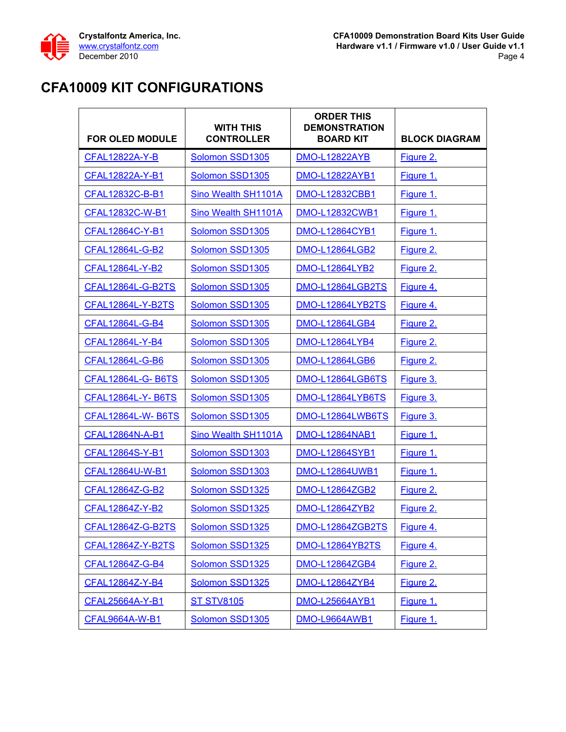

### <span id="page-3-0"></span>**CFA10009 KIT CONFIGURATIONS**

| <b>FOR OLED MODULE</b>   | <b>WITH THIS</b><br><b>CONTROLLER</b> | <b>ORDER THIS</b><br><b>DEMONSTRATION</b><br><b>BOARD KIT</b> | <b>BLOCK DIAGRAM</b> |
|--------------------------|---------------------------------------|---------------------------------------------------------------|----------------------|
| CFAL12822A-Y-B           | Solomon SSD1305                       | <b>DMO-L12822AYB</b>                                          | Figure 2.            |
| CFAL12822A-Y-B1          | Solomon SSD1305                       | DMO-L12822AYB1                                                | Figure 1.            |
| CFAL12832C-B-B1          | Sino Wealth SH1101A                   | <b>DMO-L12832CBB1</b>                                         | Figure 1.            |
| CFAL12832C-W-B1          | Sino Wealth SH1101A                   | <b>DMO-L12832CWB1</b>                                         | Figure 1.            |
| CFAL12864C-Y-B1          | Solomon SSD1305                       | <b>DMO-L12864CYB1</b>                                         | Figure 1.            |
| CFAL12864L-G-B2          | Solomon SSD1305                       | <b>DMO-L12864LGB2</b>                                         | Figure 2.            |
| CFAL12864L-Y-B2          | Solomon SSD1305                       | <b>DMO-L12864LYB2</b>                                         | Figure 2.            |
| CFAL12864L-G-B2TS        | Solomon SSD1305                       | DMO-L12864LGB2TS                                              | <u>Figure 4.</u>     |
| CFAL12864L-Y-B2TS        | Solomon SSD1305                       | DMO-L12864LYB2TS                                              | Figure 4.            |
| CFAL12864L-G-B4          | Solomon SSD1305                       | <b>DMO-L12864LGB4</b>                                         | Figure 2.            |
| CFAL12864L-Y-B4          | Solomon SSD1305                       | <b>DMO-L12864LYB4</b>                                         | Figure 2.            |
| CFAL12864L-G-B6          | Solomon SSD1305                       | <b>DMO-L12864LGB6</b>                                         | Figure 2.            |
| <b>CFAL12864L-G-B6TS</b> | Solomon SSD1305                       | DMO-L12864LGB6TS                                              | Figure 3.            |
| <b>CFAL12864L-Y-B6TS</b> | Solomon SSD1305                       | DMO-L12864LYB6TS                                              | <u>Figure 3.</u>     |
| <b>CFAL12864L-W-B6TS</b> | Solomon SSD1305                       | DMO-L12864LWB6TS                                              | Figure 3.            |
| CFAL12864N-A-B1          | Sino Wealth SH1101A                   | <b>DMO-L12864NAB1</b>                                         | Figure 1.            |
| CFAL12864S-Y-B1          | Solomon SSD1303                       | <b>DMO-L12864SYB1</b>                                         | Figure 1.            |
| CFAL12864U-W-B1          | Solomon SSD1303                       | <b>DMO-L12864UWB1</b>                                         | Figure 1.            |
| CFAL12864Z-G-B2          | Solomon SSD1325                       | <b>DMO-L12864ZGB2</b>                                         | Figure 2.            |
| CFAL12864Z-Y-B2          | Solomon SSD1325                       | <b>DMO-L12864ZYB2</b>                                         | Figure 2.            |
| CFAL12864Z-G-B2TS        | Solomon SSD1325                       | <b>DMO-L12864ZGB2TS</b>                                       | Figure 4.            |
| CFAL12864Z-Y-B2TS        | Solomon SSD1325                       | DMO-L12864YB2TS                                               | Figure 4.            |
| CFAL12864Z-G-B4          | Solomon SSD1325                       | <b>DMO-L12864ZGB4</b>                                         | Figure 2.            |
| CFAL12864Z-Y-B4          | Solomon SSD1325                       | DMO-L12864ZYB4                                                | Figure 2.            |
| CFAL25664A-Y-B1          | <b>ST STV8105</b>                     | <b>DMO-L25664AYB1</b>                                         | Figure 1.            |
| <b>CFAL9664A-W-B1</b>    | Solomon SSD1305                       | <b>DMO-L9664AWB1</b>                                          | Figure 1.            |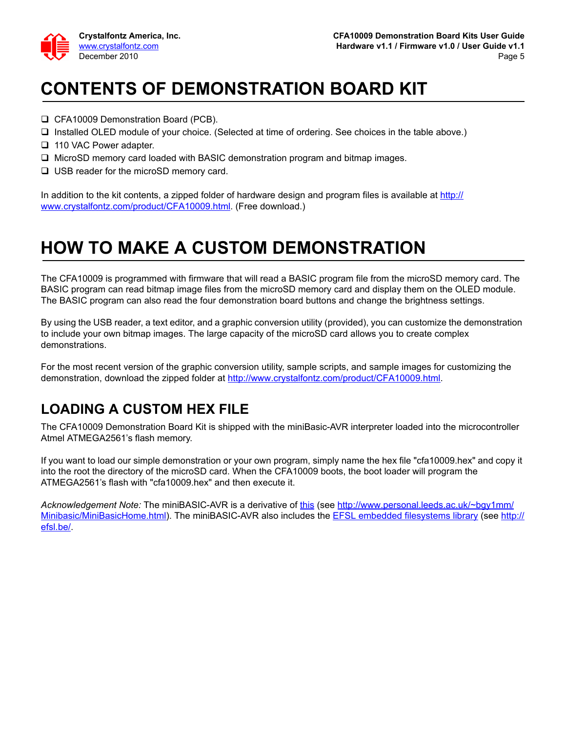

## **CONTENTS OF DEMONSTRATION BOARD KIT**

- □ CFA10009 Demonstration Board (PCB).
- □ Installed OLED module of your choice. (Selected at time of ordering. See choices in the table above.)
- □ 110 VAC Power adapter.
- $\Box$  MicroSD memory card loaded with BASIC demonstration program and bitmap images.
- □ USB reader for the microSD memory card.

In addition to the kit contents, a zipped folder of hardware design and program files is available at [http://](http://www.crystalfontz.com/product/CFA10009.html) [www.crystalfontz.com/product/CFA10009.html](http://www.crystalfontz.com/product/CFA10009.html). (Free download.)

### **HOW TO MAKE A CUSTOM DEMONSTRATION**

The CFA10009 is programmed with firmware that will read a BASIC program file from the microSD memory card. The BASIC program can read bitmap image files from the microSD memory card and display them on the OLED module. The BASIC program can also read the four demonstration board buttons and change the brightness settings.

By using the USB reader, a text editor, and a graphic conversion utility (provided), you can customize the demonstration to include your own bitmap images. The large capacity of the microSD card allows you to create complex demonstrations.

For the most recent version of the graphic conversion utility, sample scripts, and sample images for customizing the demonstration, download the zipped folder at [http://www.crystalfontz.com/product/CFA10009.html.](http://www.crystalfontz.com/product/CFA10009.html)

#### **LOADING A CUSTOM HEX FILE**

The CFA10009 Demonstration Board Kit is shipped with the miniBasic-AVR interpreter loaded into the microcontroller Atmel ATMEGA2561's flash memory.

If you want to load our simple demonstration or your own program, simply name the hex file "cfa10009.hex" and copy it into the root the directory of the microSD card. When the CFA10009 boots, the boot loader will program the ATMEGA2561's flash with "cfa10009.hex" and then execute it.

*Acknowledgement Note:* The miniBASIC-AVR is a derivative of [this](http://www.personal.leeds.ac.uk/~bgy1mm/Minibasic/MiniBasicHome.html) (see [http://www.personal.leeds.ac.uk/~bgy1mm/](http://www.personal.leeds.ac.uk/~bgy1mm/Minibasic/MiniBasicHome.html) [Minibasic/MiniBasicHome.html\)](http://www.personal.leeds.ac.uk/~bgy1mm/Minibasic/MiniBasicHome.html). The miniBASIC-AVR also includes the [EFSL embedded filesystems library](http://efsl.be/) (see [http://](http://efsl.be/) [efsl.be/.](http://efsl.be/)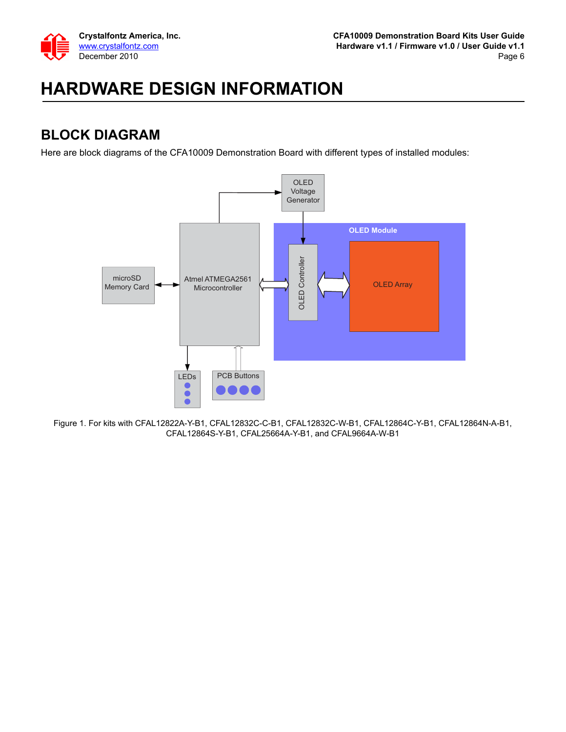

## **HARDWARE DESIGN INFORMATION**

#### **BLOCK DIAGRAM**

Here are block diagrams of the CFA10009 Demonstration Board with different types of installed modules:



<span id="page-5-0"></span>Figure 1. For kits with CFAL12822A-Y-B1, CFAL12832C-C-B1, CFAL12832C-W-B1, CFAL12864C-Y-B1, CFAL12864N-A-B1, CFAL12864S-Y-B1, CFAL25664A-Y-B1, and CFAL9664A-W-B1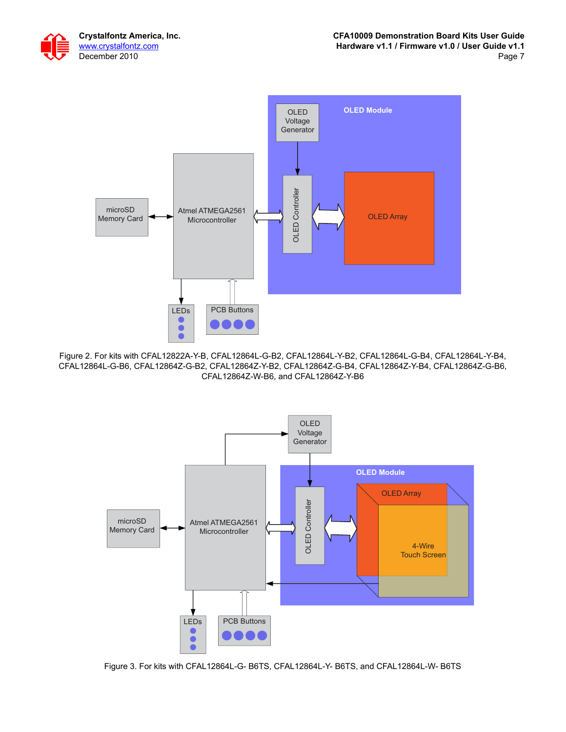



<span id="page-6-0"></span>Figure 2. For kits with CFAL12822A-Y-B, CFAL12864L-G-B2, CFAL12864L-Y-B2, CFAL12864L-G-B4, CFAL12864L-Y-B4, CFAL12864L-G-B6, CFAL12864Z-G-B2, CFAL12864Z-Y-B2, CFAL12864Z-G-B4, CFAL12864Z-Y-B4, CFAL12864Z-G-B6, CFAL12864Z-W-B6, and CFAL12864Z-Y-B6



<span id="page-6-1"></span>Figure 3. For kits with CFAL12864L-G- B6TS, CFAL12864L-Y- B6TS, and CFAL12864L-W- B6TS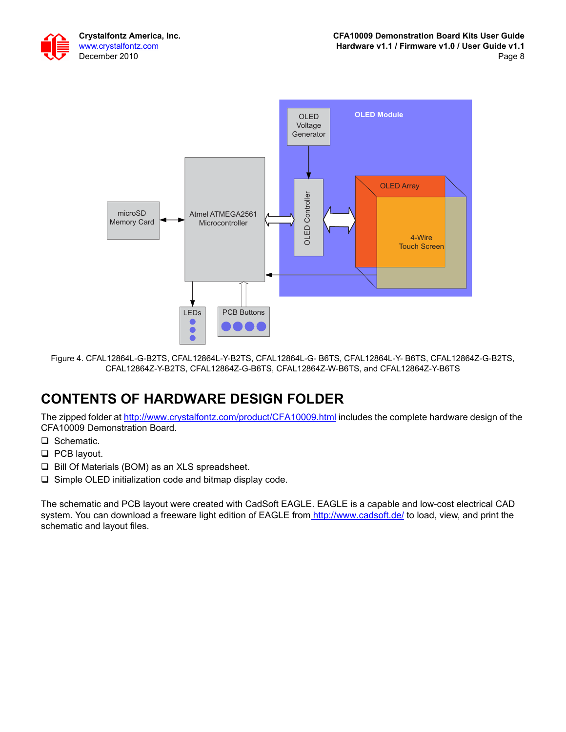



<span id="page-7-0"></span>Figure 4. CFAL12864L-G-B2TS, CFAL12864L-Y-B2TS, CFAL12864L-G- B6TS, CFAL12864L-Y- B6TS, CFAL12864Z-G-B2TS, CFAL12864Z-Y-B2TS, CFAL12864Z-G-B6TS, CFAL12864Z-W-B6TS, and CFAL12864Z-Y-B6TS

### **CONTENTS OF HARDWARE DESIGN FOLDER**

The zipped folder at<http://www.crystalfontz.com/product/CFA10009.html>includes the complete hardware design of the CFA10009 Demonstration Board.

- □ Schematic.
- **D** PCB layout.
- $\Box$  Bill Of Materials (BOM) as an XLS spreadsheet.
- $\square$  Simple OLED initialization code and bitmap display code.

The schematic and PCB layout were created with CadSoft EAGLE. EAGLE is a capable and low-cost electrical CAD system. You can download a freeware light edition of EAGLE fro[m http://www.cadsoft.de/](http://www.cadsoft.de/) to load, view, and print the schematic and layout files.